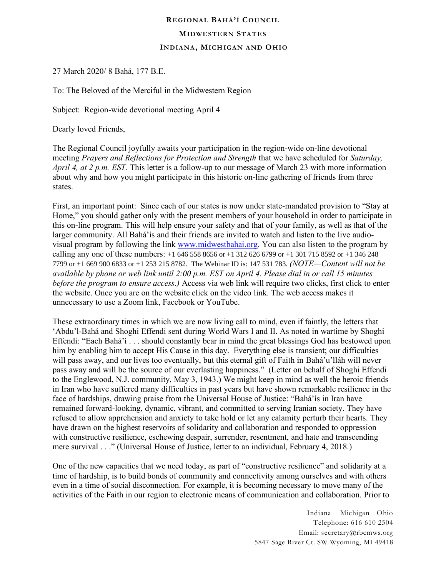## **REGIONAL BAHÁ'Í COUNCIL MIDWESTERN STATES INDIANA, MICH IGAN AND OHIO**

27 March 2020/ 8 Bahá, 177 B.E.

To: The Beloved of the Merciful in the Midwestern Region

Subject: Region-wide devotional meeting April 4

Dearly loved Friends,

The Regional Council joyfully awaits your participation in the region-wide on-line devotional meeting *Prayers and Reflections for Protection and Strength* that we have scheduled for *Saturday, April 4, at 2 p.m. EST.* This letter is a follow-up to our message of March 23 with more information about why and how you might participate in this historic on-line gathering of friends from three states.

First, an important point: Since each of our states is now under state-mandated provision to "Stay at Home," you should gather only with the present members of your household in order to participate in this on-line program. This will help ensure your safety and that of your family, as well as that of the larger community. All Bahá'ís and their friends are invited to watch and listen to the live audiovisual program by following the link [www.midwestbahai.org.](http://www.midwestbahai.org/) You can also listen to the program by calling any one of these numbers: +1 646 558 8656 or +1 312 626 6799 or +1 301 715 8592 or +1 346 248 7799 or +1 669 900 6833 or +1 253 215 8782. The Webinar ID is: 147 531 783. *(NOTE—Content will not be available by phone or web link until 2:00 p.m. EST on April 4. Please dial in or call 15 minutes before the program to ensure access.)* Access via web link will require two clicks, first click to enter the website. Once you are on the website click on the video link. The web access makes it unnecessary to use a Zoom link, Facebook or YouTube.

These extraordinary times in which we are now living call to mind, even if faintly, the letters that 'Abdu'l-Bahá and Shoghi Effendi sent during World Wars I and II. As noted in wartime by Shoghi Effendi: "Each Bahá'í . . . should constantly bear in mind the great blessings God has bestowed upon him by enabling him to accept His Cause in this day. Everything else is transient; our difficulties will pass away, and our lives too eventually, but this eternal gift of Faith in Bahá'u'lláh will never pass away and will be the source of our everlasting happiness." (Letter on behalf of Shoghi Effendi to the Englewood, N.J. community, May 3, 1943.) We might keep in mind as well the heroic friends in Iran who have suffered many difficulties in past years but have shown remarkable resilience in the face of hardships, drawing praise from the Universal House of Justice: "Bahá'ís in Iran have remained forward-looking, dynamic, vibrant, and committed to serving Iranian society. They have refused to allow apprehension and anxiety to take hold or let any calamity perturb their hearts. They have drawn on the highest reservoirs of solidarity and collaboration and responded to oppression with constructive resilience, eschewing despair, surrender, resentment, and hate and transcending mere survival . . ." (Universal House of Justice, letter to an individual, February 4, 2018.)

One of the new capacities that we need today, as part of "constructive resilience" and solidarity at a time of hardship, is to build bonds of community and connectivity among ourselves and with others even in a time of social disconnection. For example, it is becoming necessary to move many of the activities of the Faith in our region to electronic means of communication and collaboration. Prior to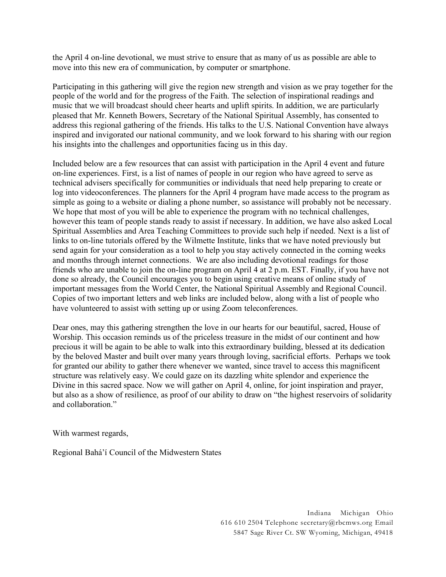the April 4 on-line devotional, we must strive to ensure that as many of us as possible are able to move into this new era of communication, by computer or smartphone.

Participating in this gathering will give the region new strength and vision as we pray together for the people of the world and for the progress of the Faith. The selection of inspirational readings and music that we will broadcast should cheer hearts and uplift spirits. In addition, we are particularly pleased that Mr. Kenneth Bowers, Secretary of the National Spiritual Assembly, has consented to address this regional gathering of the friends. His talks to the U.S. National Convention have always inspired and invigorated our national community, and we look forward to his sharing with our region his insights into the challenges and opportunities facing us in this day.

Included below are a few resources that can assist with participation in the April 4 event and future on-line experiences. First, is a list of names of people in our region who have agreed to serve as technical advisers specifically for communities or individuals that need help preparing to create or log into videoconferences. The planners for the April 4 program have made access to the program as simple as going to a website or dialing a phone number, so assistance will probably not be necessary. We hope that most of you will be able to experience the program with no technical challenges, however this team of people stands ready to assist if necessary. In addition, we have also asked Local Spiritual Assemblies and Area Teaching Committees to provide such help if needed. Next is a list of links to on-line tutorials offered by the Wilmette Institute, links that we have noted previously but send again for your consideration as a tool to help you stay actively connected in the coming weeks and months through internet connections. We are also including devotional readings for those friends who are unable to join the on-line program on April 4 at 2 p.m. EST. Finally, if you have not done so already, the Council encourages you to begin using creative means of online study of important messages from the World Center, the National Spiritual Assembly and Regional Council. Copies of two important letters and web links are included below, along with a list of people who have volunteered to assist with setting up or using Zoom teleconferences.

Dear ones, may this gathering strengthen the love in our hearts for our beautiful, sacred, House of Worship. This occasion reminds us of the priceless treasure in the midst of our continent and how precious it will be again to be able to walk into this extraordinary building, blessed at its dedication by the beloved Master and built over many years through loving, sacrificial efforts. Perhaps we took for granted our ability to gather there whenever we wanted, since travel to access this magnificent structure was relatively easy. We could gaze on its dazzling white splendor and experience the Divine in this sacred space. Now we will gather on April 4, online, for joint inspiration and prayer, but also as a show of resilience, as proof of our ability to draw on "the highest reservoirs of solidarity and collaboration."

With warmest regards,

Regional Bahá'í Council of the Midwestern States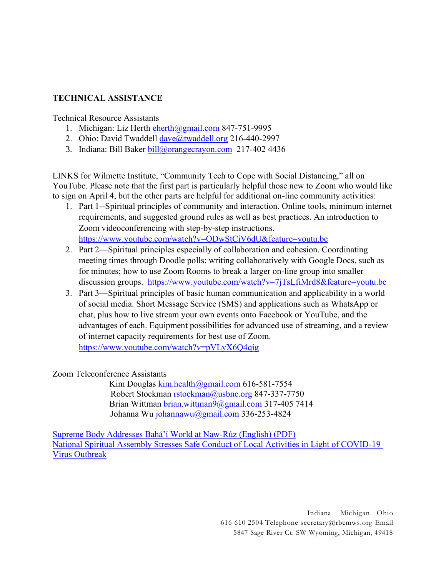## **TECHNICAL ASSISTANCE**

## Technical Resource Assistants

- 1. Michigan: Liz Herth [eherth@gmail.com](mailto:eherth@gmail.com) 847-751-9995
- 2. Ohio: David Twaddell [dave@twaddell.org](mailto:dave@twaddell.org) 216-440-2997
- 3. Indiana: Bill Baker [bill@orangecrayon.com](mailto:bill@orangecrayon.com) 217-402 4436

LINKS for Wilmette Institute, "Community Tech to Cope with Social Distancing," all on YouTube. Please note that the first part is particularly helpful those new to Zoom who would like to sign on April 4, but the other parts are helpful for additional on-line community activities:

- 1. Part 1--Spiritual principles of community and interaction. Online tools, minimum internet requirements, and suggested ground rules as well as best practices. An introduction to Zoom videoconferencing with step-by-step instructions. <https://www.youtube.com/watch?v=ODwStCiV6dU&feature=youtu.be>
- 2. Part 2—Spiritual principles especially of collaboration and cohesion. Coordinating meeting times through Doodle polls; writing collaboratively with Google Docs, such as for minutes; how to use Zoom Rooms to break a larger on-line group into smaller discussion groups. <https://www.youtube.com/watch?v=7jTsLfiMrd8&feature=youtu.be>
- 3. Part 3—Spiritual principles of basic human communication and applicability in a world of social media. Short Message Service (SMS) and applications such as WhatsApp or chat, plus how to live stream your own events onto Facebook or YouTube, and the advantages of each. Equipment possibilities for advanced use of streaming, and a review of internet capacity requirements for best use of Zoom.

<https://www.youtube.com/watch?v=pVLyX6Q4qig>

## Zoom Teleconference Assistants

 Kim Douglas [kim.health@gmail.com](mailto:kim.health@gmail.com) 616-581-7554 Robert Stockman [rstockman@usbnc.org](mailto:rstockman@usbnc.org) 847-337-7750 Brian Wittman [brian.wittman9@gmail.com](mailto:brian.wittman9@gmail.com) 317-405 7414 Johanna Wu [johannawu@gmail.com](mailto:johannawu@gmail.com) 336-253-4824

[Supreme Body Addresses Bahá'í World at Naw](https://app.box.com/s/srvx6pcriorhxxbgw15ar2ttrnsf5k6m)-Rúz (English) (PDF) [National Spiritual Assembly Stresses Safe Conduct of Local Activities in Light of COVID-19](https://app.box.com/s/790z0ywcosi8sm10fvm0xox6ge5w6qng)  [Virus Outbreak](https://app.box.com/s/790z0ywcosi8sm10fvm0xox6ge5w6qng)